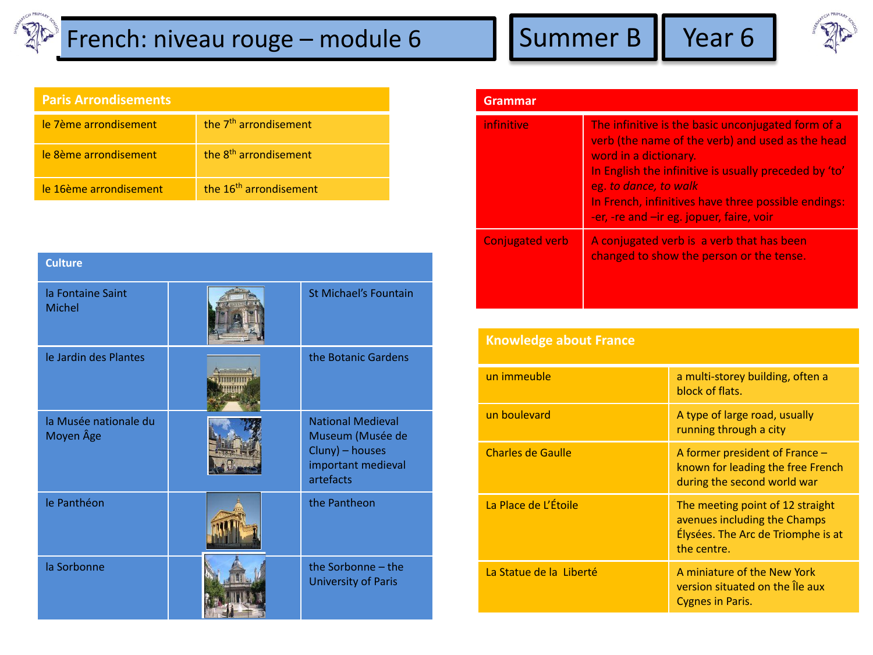## $\mathbb{R}$  French: niveau rouge – module 6 Summer B Year 6



| <b>Paris Arrondisements</b> |  |
|-----------------------------|--|
|                             |  |
|                             |  |

| le 7ème arrondisement  | the 7 <sup>th</sup> arrondisement  |
|------------------------|------------------------------------|
| le 8ème arrondisement  | the 8 <sup>th</sup> arrondisement  |
| le 16ème arrondisement | the 16 <sup>th</sup> arrondisement |

| <b>Culture</b>                     |  |                                                                                                    |  |  |
|------------------------------------|--|----------------------------------------------------------------------------------------------------|--|--|
| la Fontaine Saint<br><b>Michel</b> |  | St Michael's Fountain                                                                              |  |  |
| le Jardin des Plantes              |  | the Botanic Gardens                                                                                |  |  |
| la Musée nationale du<br>Moyen Âge |  | <b>National Medieval</b><br>Museum (Musée de<br>Cluny) - houses<br>important medieval<br>artefacts |  |  |
| le Panthéon                        |  | the Pantheon                                                                                       |  |  |
| la Sorbonne                        |  | the Sorbonne - the<br><b>University of Paris</b>                                                   |  |  |

| <b>Grammar</b>         |                                                                                                                                                                                                                                                                                                                      |  |
|------------------------|----------------------------------------------------------------------------------------------------------------------------------------------------------------------------------------------------------------------------------------------------------------------------------------------------------------------|--|
| infinitive             | The infinitive is the basic unconjugated form of a<br>verb (the name of the verb) and used as the head<br>word in a dictionary.<br>In English the infinitive is usually preceded by 'to'<br>eg. to dance, to walk<br>In French, infinitives have three possible endings:<br>-er, -re and -ir eg. jopuer, faire, voir |  |
| <b>Conjugated verb</b> | A conjugated verb is a verb that has been<br>changed to show the person or the tense.                                                                                                                                                                                                                                |  |

| <b>Knowledge about France</b> |                                                                                                                       |  |  |  |
|-------------------------------|-----------------------------------------------------------------------------------------------------------------------|--|--|--|
| un immeuble                   | a multi-storey building, often a<br>block of flats.                                                                   |  |  |  |
| un boulevard                  | A type of large road, usually<br>running through a city                                                               |  |  |  |
| <b>Charles de Gaulle</b>      | A former president of France $-$<br>known for leading the free French<br>during the second world war                  |  |  |  |
| La Place de L'Étoile          | The meeting point of 12 straight<br>avenues including the Champs<br>Élysées. The Arc de Triomphe is at<br>the centre. |  |  |  |
| La Statue de la Liberté       | A miniature of the New York<br>version situated on the le aux<br><b>Cygnes in Paris.</b>                              |  |  |  |